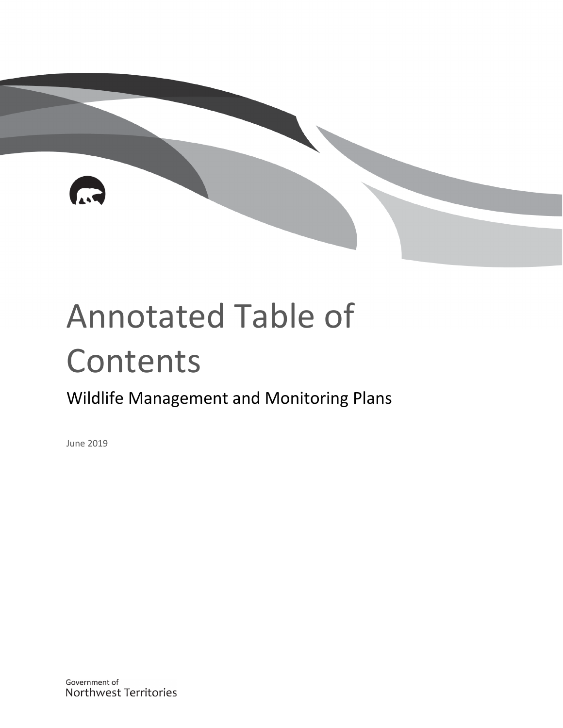# Annotated Table of Contents

## Wildlife Management and Monitoring Plans

June 2019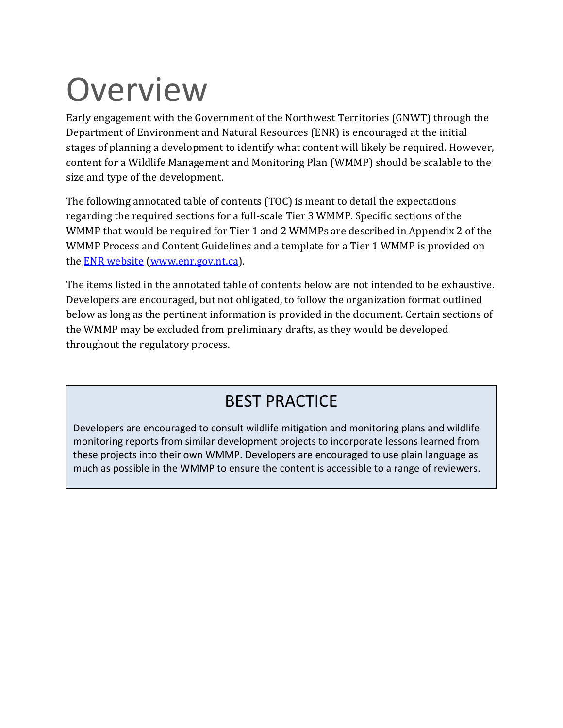## **Overview**

Early engagement with the Government of the Northwest Territories (GNWT) through the Department of Environment and Natural Resources (ENR) is encouraged at the initial stages of planning a development to identify what content will likely be required. However, content for a Wildlife Management and Monitoring Plan (WMMP) should be scalable to the size and type of the development.

The following annotated table of contents (TOC) is meant to detail the expectations regarding the required sections for a full-scale Tier 3 WMMP. Specific sections of the WMMP that would be required for Tier 1 and 2 WMMPs are described in Appendix 2 of the WMMP Process and Content Guidelines and a template for a Tier 1 WMMP is provided on the [ENR website](https://www.enr.gov.nt.ca/en/services/wildlife-management-and-monitoring-plans) (www.enr.gov.nt.ca).

The items listed in the annotated table of contents below are not intended to be exhaustive. Developers are encouraged, but not obligated, to follow the organization format outlined below as long as the pertinent information is provided in the document. Certain sections of the WMMP may be excluded from preliminary drafts, as they would be developed throughout the regulatory process.

### BEST PRACTICE

Developers are encouraged to consult wildlife mitigation and monitoring plans and wildlife monitoring reports from similar development projects to incorporate lessons learned from these projects into their own WMMP. Developers are encouraged to use plain language as much as possible in the WMMP to ensure the content is accessible to a range of reviewers.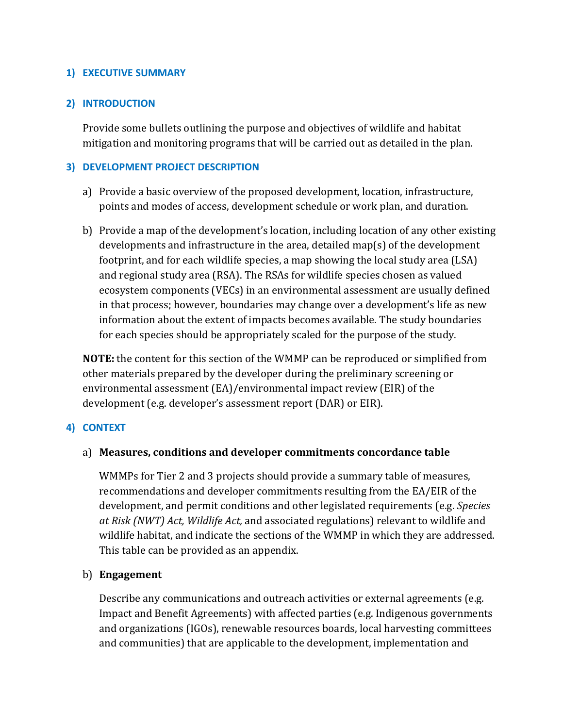#### **1) EXECUTIVE SUMMARY**

#### **2) INTRODUCTION**

Provide some bullets outlining the purpose and objectives of wildlife and habitat mitigation and monitoring programs that will be carried out as detailed in the plan.

#### **3) DEVELOPMENT PROJECT DESCRIPTION**

- a) Provide a basic overview of the proposed development, location, infrastructure, points and modes of access, development schedule or work plan, and duration.
- b) Provide a map of the development's location, including location of any other existing developments and infrastructure in the area, detailed map(s) of the development footprint, and for each wildlife species, a map showing the local study area (LSA) and regional study area (RSA). The RSAs for wildlife species chosen as valued ecosystem components (VECs) in an environmental assessment are usually defined in that process; however, boundaries may change over a development's life as new information about the extent of impacts becomes available. The study boundaries for each species should be appropriately scaled for the purpose of the study.

**NOTE:** the content for this section of the WMMP can be reproduced or simplified from other materials prepared by the developer during the preliminary screening or environmental assessment (EA)/environmental impact review (EIR) of the development (e.g. developer's assessment report (DAR) or EIR).

#### **4) CONTEXT**

#### a) **Measures, conditions and developer commitments concordance table**

WMMPs for Tier 2 and 3 projects should provide a summary table of measures, recommendations and developer commitments resulting from the EA/EIR of the development, and permit conditions and other legislated requirements (e.g. *Species at Risk (NWT) Act, Wildlife Act,* and associated regulations) relevant to wildlife and wildlife habitat, and indicate the sections of the WMMP in which they are addressed. This table can be provided as an appendix.

#### b) **Engagement**

Describe any communications and outreach activities or external agreements (e.g. Impact and Benefit Agreements) with affected parties (e.g. Indigenous governments and organizations (IGOs), renewable resources boards, local harvesting committees and communities) that are applicable to the development, implementation and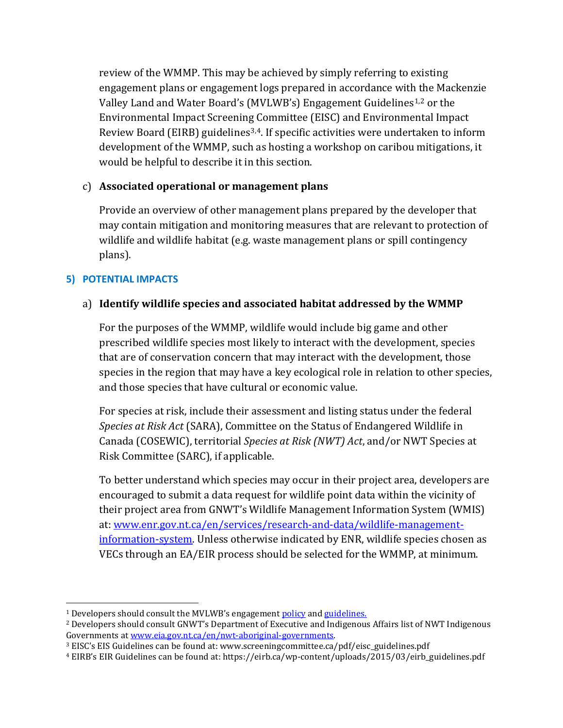review of the WMMP. This may be achieved by simply referring to existing engagement plans or engagement logs prepared in accordance with the Mackenzie Valley Land and Water Board's (MVLWB's) Engagement Guidelines<sup>[1](#page-3-0),[2](#page-3-1)</sup> or the Environmental Impact Screening Committee (EISC) and Environmental Impact Review Board (EIRB) guidelines<sup>[3](#page-3-2),4</sup>. If specific activities were undertaken to inform development of the WMMP, such as hosting a workshop on caribou mitigations, it would be helpful to describe it in this section.

#### c) **Associated operational or management plans**

Provide an overview of other management plans prepared by the developer that may contain mitigation and monitoring measures that are relevant to protection of wildlife and wildlife habitat (e.g. waste management plans or spill contingency plans).

#### **5) POTENTIAL IMPACTS**

 $\overline{\phantom{a}}$ 

#### a) **Identify wildlife species and associated habitat addressed by the WMMP**

For the purposes of the WMMP, wildlife would include big game and other prescribed wildlife species most likely to interact with the development, species that are of conservation concern that may interact with the development, those species in the region that may have a key ecological role in relation to other species, and those species that have cultural or economic value.

For species at risk, include their assessment and listing status under the federal *Species at Risk Act* (SARA), Committee on the Status of Endangered Wildlife in Canada (COSEWIC), territorial *Species at Risk (NWT) Act*, and/or NWT Species at Risk Committee (SARC), if applicable.

To better understand which species may occur in their project area, developers are encouraged to submit a data request for wildlife point data within the vicinity of their project area from GNWT's Wildlife Management Information System (WMIS) at: [www.enr.gov.nt.ca/en/services/research-and-data/wildlife-management](http://www.enr.gov.nt.ca/en/services/research-and-data/wildlife-management-information-system)[information-system.](http://www.enr.gov.nt.ca/en/services/research-and-data/wildlife-management-information-system) Unless otherwise indicated by ENR, wildlife species chosen as VECs through an EA/EIR process should be selected for the WMMP, at minimum.

<span id="page-3-0"></span><sup>&</sup>lt;sup>1</sup> Developers should consult the MVLWB's engagement [policy](http://mvlwb.com/sites/default/files/documents/wg/MVLWB%20Engagement%20and%20Consultation%20Policy%20-%20May%2015_0.pdf) and [guidelines.](http://mvlwb.com/sites/default/files/documents/wg/Wor...r%20Applicantts%20May13.pdf)

<span id="page-3-1"></span><sup>&</sup>lt;sup>2</sup> Developers should consult GNWT's Department of Executive and Indigenous Affairs list of NWT Indigenous Governments at www.eia.gov.nt.ca/en/nwt-aboriginal-governments.

<span id="page-3-2"></span><sup>&</sup>lt;sup>3</sup> EISC's EIS Guidelines can be found at: www.screeningcommittee.ca/pdf/eisc\_guidelines.pdf

<span id="page-3-3"></span><sup>4</sup> EIRB's EIR Guidelines can be found at: https://eirb.ca/wp-content/uploads/2015/03/eirb\_guidelines.pdf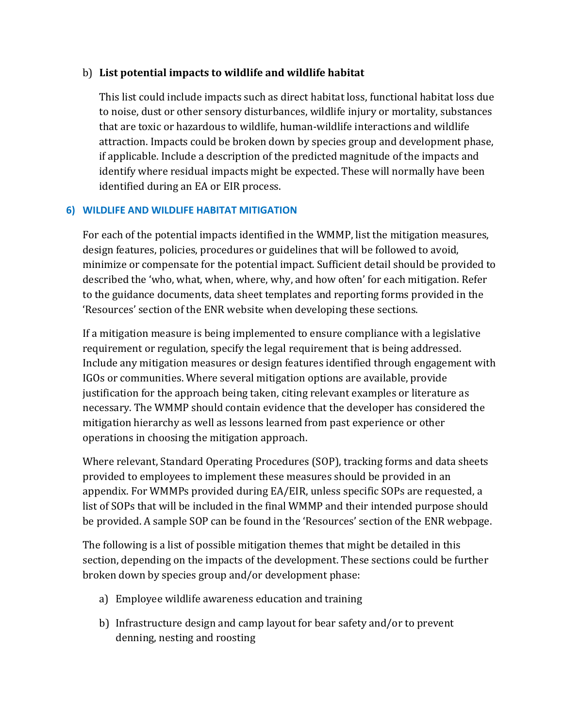#### b) **List potential impacts to wildlife and wildlife habitat**

This list could include impacts such as direct habitat loss, functional habitat loss due to noise, dust or other sensory disturbances, wildlife injury or mortality, substances that are toxic or hazardous to wildlife, human-wildlife interactions and wildlife attraction. Impacts could be broken down by species group and development phase, if applicable. Include a description of the predicted magnitude of the impacts and identify where residual impacts might be expected. These will normally have been identified during an EA or EIR process.

#### **6) WILDLIFE AND WILDLIFE HABITAT MITIGATION**

For each of the potential impacts identified in the WMMP, list the mitigation measures, design features, policies, procedures or guidelines that will be followed to avoid, minimize or compensate for the potential impact. Sufficient detail should be provided to described the 'who, what, when, where, why, and how often' for each mitigation. Refer to the guidance documents, data sheet templates and reporting forms provided in the 'Resources' section of the ENR website when developing these sections.

If a mitigation measure is being implemented to ensure compliance with a legislative requirement or regulation, specify the legal requirement that is being addressed. Include any mitigation measures or design features identified through engagement with IGOs or communities. Where several mitigation options are available, provide justification for the approach being taken, citing relevant examples or literature as necessary. The WMMP should contain evidence that the developer has considered the mitigation hierarchy as well as lessons learned from past experience or other operations in choosing the mitigation approach.

Where relevant, Standard Operating Procedures (SOP), tracking forms and data sheets provided to employees to implement these measures should be provided in an appendix. For WMMPs provided during EA/EIR, unless specific SOPs are requested, a list of SOPs that will be included in the final WMMP and their intended purpose should be provided. A sample SOP can be found in the 'Resources' section of the ENR webpage.

The following is a list of possible mitigation themes that might be detailed in this section, depending on the impacts of the development. These sections could be further broken down by species group and/or development phase:

- a) Employee wildlife awareness education and training
- b) Infrastructure design and camp layout for bear safety and/or to prevent denning, nesting and roosting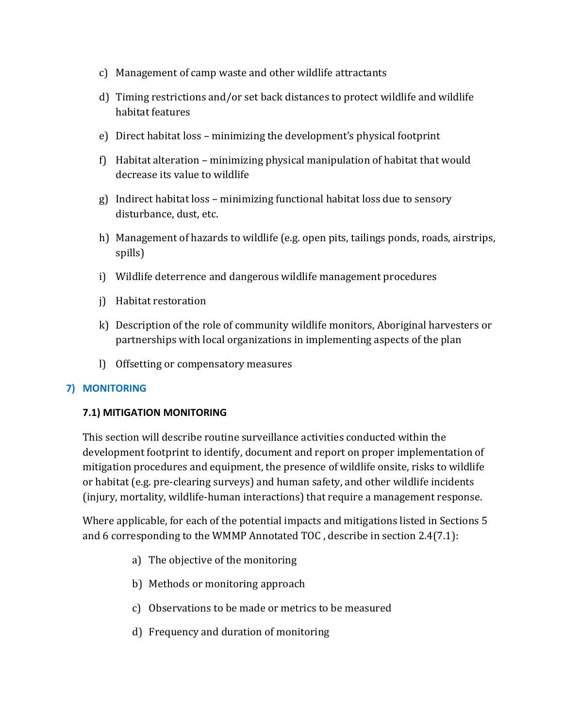- c) Management of camp waste and other wildlife attractants
- d) Timing restrictions and/or set back distances to protect wildlife and wildlife habitat features
- e) Direct habitat loss minimizing the development's physical footprint
- f) Habitat alteration minimizing physical manipulation of habitat that would decrease its value to wildlife
- g) Indirect habitat loss minimizing functional habitat loss due to sensory disturbance, dust, etc.
- h) Management of hazards to wildlife (e.g. open pits, tailings ponds, roads, airstrips, spills)
- i) Wildlife deterrence and dangerous wildlife management procedures
- j) Habitat restoration
- k) Description of the role of community wildlife monitors, Aboriginal harvesters or partnerships with local organizations in implementing aspects of the plan
- l) Offsetting or compensatory measures

#### **7) MONITORING**

#### **7.1) MITIGATION MONITORING**

This section will describe routine surveillance activities conducted within the development footprint to identify, document and report on proper implementation of mitigation procedures and equipment, the presence of wildlife onsite, risks to wildlife or habitat (e.g. pre-clearing surveys) and human safety, and other wildlife incidents (injury, mortality, wildlife-human interactions) that require a management response.

Where applicable, for each of the potential impacts and mitigations listed in Sections 5 and 6 corresponding to the WMMP Annotated TOC , describe in section 2.4(7.1):

- a) The objective of the monitoring
- b) Methods or monitoring approach
- c) Observations to be made or metrics to be measured
- d) Frequency and duration of monitoring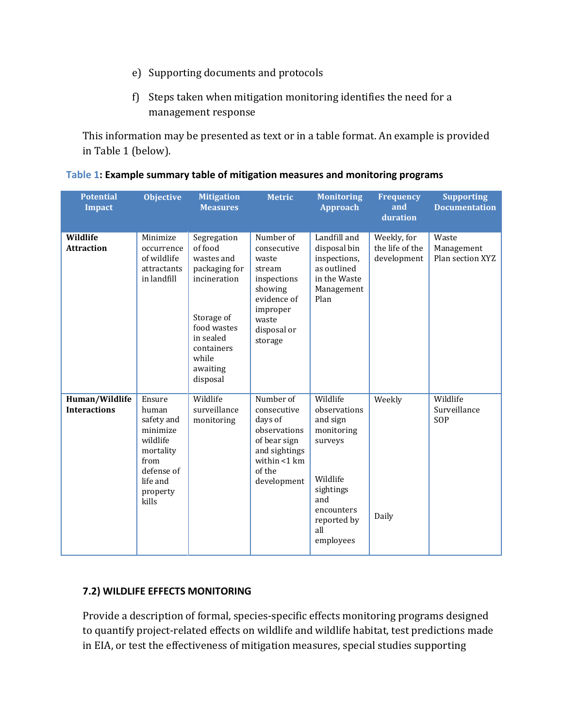- e) Supporting documents and protocols
- f) Steps taken when mitigation monitoring identifies the need for a management response

This information may be presented as text or in a table format. An example is provided in Table 1 (below).

| <b>Potential</b><br><b>Impact</b>     | <b>Objective</b>                                                                                                          | <b>Mitigation</b><br><b>Measures</b>                                                                                                                           | <b>Metric</b>                                                                                                                       | <b>Monitoring</b><br><b>Approach</b>                                                                                                           | <b>Frequency</b><br>and<br>duration           | <b>Supporting</b><br><b>Documentation</b> |
|---------------------------------------|---------------------------------------------------------------------------------------------------------------------------|----------------------------------------------------------------------------------------------------------------------------------------------------------------|-------------------------------------------------------------------------------------------------------------------------------------|------------------------------------------------------------------------------------------------------------------------------------------------|-----------------------------------------------|-------------------------------------------|
| Wildlife<br><b>Attraction</b>         | Minimize<br>occurrence<br>of wildlife<br>attractants<br>in landfill                                                       | Segregation<br>of food<br>wastes and<br>packaging for<br>incineration<br>Storage of<br>food wastes<br>in sealed<br>containers<br>while<br>awaiting<br>disposal | Number of<br>consecutive<br>waste<br>stream<br>inspections<br>showing<br>evidence of<br>improper<br>waste<br>disposal or<br>storage | Landfill and<br>disposal bin<br>inspections,<br>as outlined<br>in the Waste<br>Management<br>Plan                                              | Weekly, for<br>the life of the<br>development | Waste<br>Management<br>Plan section XYZ   |
| Human/Wildlife<br><b>Interactions</b> | Ensure<br>human<br>safety and<br>minimize<br>wildlife<br>mortality<br>from<br>defense of<br>life and<br>property<br>kills | Wildlife<br>surveillance<br>monitoring                                                                                                                         | Number of<br>consecutive<br>days of<br>observations<br>of bear sign<br>and sightings<br>within $<$ 1 km<br>of the<br>development    | Wildlife<br>observations<br>and sign<br>monitoring<br>surveys<br>Wildlife<br>sightings<br>and<br>encounters<br>reported by<br>all<br>employees | Weekly<br>Daily                               | Wildlife<br>Surveillance<br>SOP           |

#### **Table 1: Example summary table of mitigation measures and monitoring programs**

#### **7.2) WILDLIFE EFFECTS MONITORING**

Provide a description of formal, species-specific effects monitoring programs designed to quantify project-related effects on wildlife and wildlife habitat, test predictions made in EIA, or test the effectiveness of mitigation measures, special studies supporting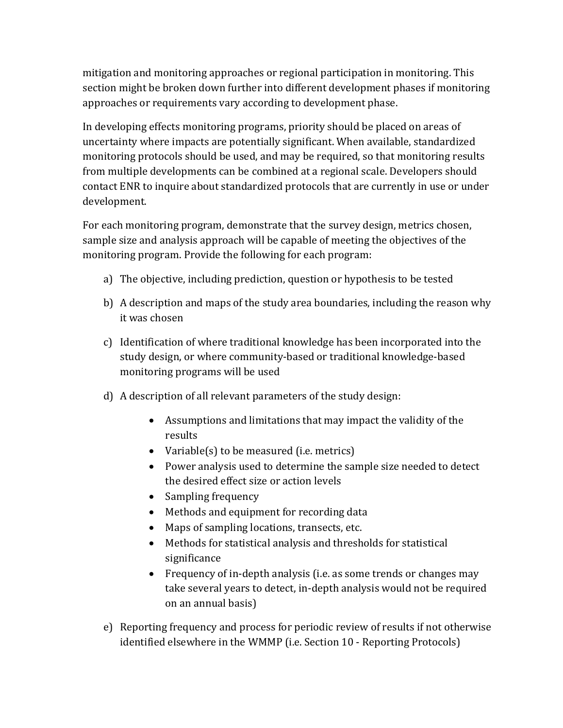mitigation and monitoring approaches or regional participation in monitoring. This section might be broken down further into different development phases if monitoring approaches or requirements vary according to development phase.

In developing effects monitoring programs, priority should be placed on areas of uncertainty where impacts are potentially significant. When available, standardized monitoring protocols should be used, and may be required, so that monitoring results from multiple developments can be combined at a regional scale. Developers should contact ENR to inquire about standardized protocols that are currently in use or under development.

For each monitoring program, demonstrate that the survey design, metrics chosen, sample size and analysis approach will be capable of meeting the objectives of the monitoring program. Provide the following for each program:

- a) The objective, including prediction, question or hypothesis to be tested
- b) A description and maps of the study area boundaries, including the reason why it was chosen
- c) Identification of where traditional knowledge has been incorporated into the study design, or where community-based or traditional knowledge-based monitoring programs will be used
- d) A description of all relevant parameters of the study design:
	- Assumptions and limitations that may impact the validity of the results
	- Variable(s) to be measured (i.e. metrics)
	- Power analysis used to determine the sample size needed to detect the desired effect size or action levels
	- Sampling frequency
	- Methods and equipment for recording data
	- Maps of sampling locations, transects, etc.
	- Methods for statistical analysis and thresholds for statistical significance
	- Frequency of in-depth analysis (i.e. as some trends or changes may take several years to detect, in-depth analysis would not be required on an annual basis)
- e) Reporting frequency and process for periodic review of results if not otherwise identified elsewhere in the WMMP (i.e. Section 10 - Reporting Protocols)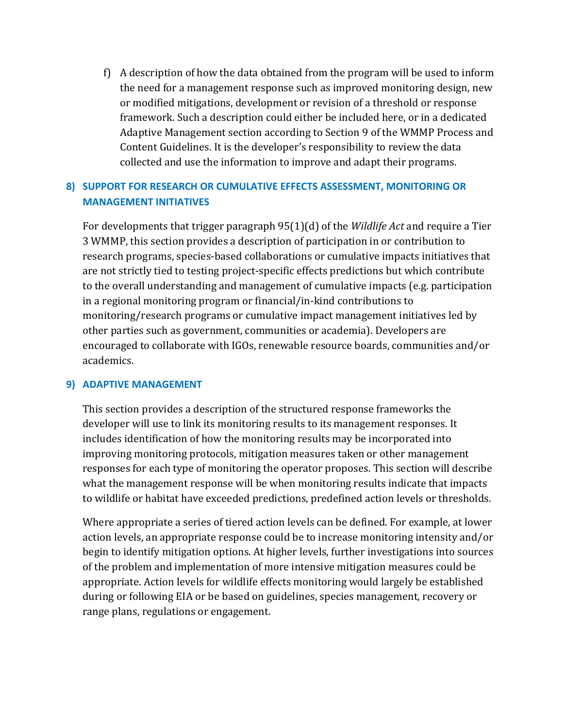f) A description of how the data obtained from the program will be used to inform the need for a management response such as improved monitoring design, new or modified mitigations, development or revision of a threshold or response framework. Such a description could either be included here, or in a dedicated Adaptive Management section according to Section 9 of the WMMP Process and Content Guidelines. It is the developer's responsibility to review the data collected and use the information to improve and adapt their programs.

#### **8) SUPPORT FOR RESEARCH OR CUMULATIVE EFFECTS ASSESSMENT, MONITORING OR MANAGEMENT INITIATIVES**

For developments that trigger paragraph 95(1)(d) of the *Wildlife Act* and require a Tier 3 WMMP, this section provides a description of participation in or contribution to research programs, species-based collaborations or cumulative impacts initiatives that are not strictly tied to testing project-specific effects predictions but which contribute to the overall understanding and management of cumulative impacts (e.g. participation in a regional monitoring program or financial/in-kind contributions to monitoring/research programs or cumulative impact management initiatives led by other parties such as government, communities or academia). Developers are encouraged to collaborate with IGOs, renewable resource boards, communities and/or academics.

#### **9) ADAPTIVE MANAGEMENT**

This section provides a description of the structured response frameworks the developer will use to link its monitoring results to its management responses. It includes identification of how the monitoring results may be incorporated into improving monitoring protocols, mitigation measures taken or other management responses for each type of monitoring the operator proposes. This section will describe what the management response will be when monitoring results indicate that impacts to wildlife or habitat have exceeded predictions, predefined action levels or thresholds.

Where appropriate a series of tiered action levels can be defined. For example, at lower action levels, an appropriate response could be to increase monitoring intensity and/or begin to identify mitigation options. At higher levels, further investigations into sources of the problem and implementation of more intensive mitigation measures could be appropriate. Action levels for wildlife effects monitoring would largely be established during or following EIA or be based on guidelines, species management, recovery or range plans, regulations or engagement.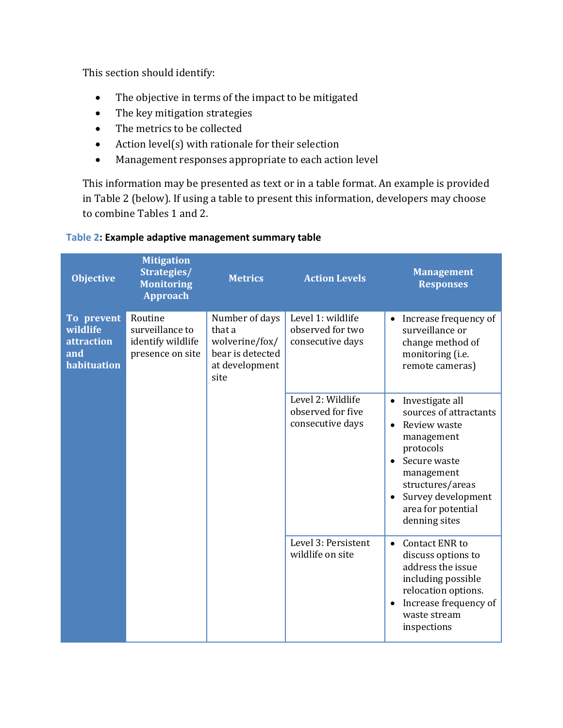This section should identify:

- The objective in terms of the impact to be mitigated
- The key mitigation strategies
- The metrics to be collected
- Action level(s) with rationale for their selection
- Management responses appropriate to each action level

This information may be presented as text or in a table format. An example is provided in Table 2 (below). If using a table to present this information, developers may choose to combine Tables 1 and 2.

| <b>Objective</b>                                           | <b>Mitigation</b><br>Strategies/<br><b>Monitoring</b><br><b>Approach</b> | <b>Metrics</b>                                                                           | <b>Action Levels</b>                                       | <b>Management</b><br><b>Responses</b>                                                                                                                                                                                         |
|------------------------------------------------------------|--------------------------------------------------------------------------|------------------------------------------------------------------------------------------|------------------------------------------------------------|-------------------------------------------------------------------------------------------------------------------------------------------------------------------------------------------------------------------------------|
| To prevent<br>wildlife<br>attraction<br>and<br>habituation | Routine<br>surveillance to<br>identify wildlife<br>presence on site      | Number of days<br>that a<br>wolverine/fox/<br>bear is detected<br>at development<br>site | Level 1: wildlife<br>observed for two<br>consecutive days  | Increase frequency of<br>surveillance or<br>change method of<br>monitoring (i.e.<br>remote cameras)                                                                                                                           |
|                                                            |                                                                          |                                                                                          | Level 2: Wildlife<br>observed for five<br>consecutive days | Investigate all<br>$\bullet$<br>sources of attractants<br>Review waste<br>$\bullet$<br>management<br>protocols<br>Secure waste<br>management<br>structures/areas<br>Survey development<br>area for potential<br>denning sites |
|                                                            |                                                                          |                                                                                          | Level 3: Persistent<br>wildlife on site                    | <b>Contact ENR to</b><br>$\bullet$<br>discuss options to<br>address the issue<br>including possible<br>relocation options.<br>Increase frequency of<br>$\bullet$<br>waste stream<br>inspections                               |

#### **Table 2: Example adaptive management summary table**